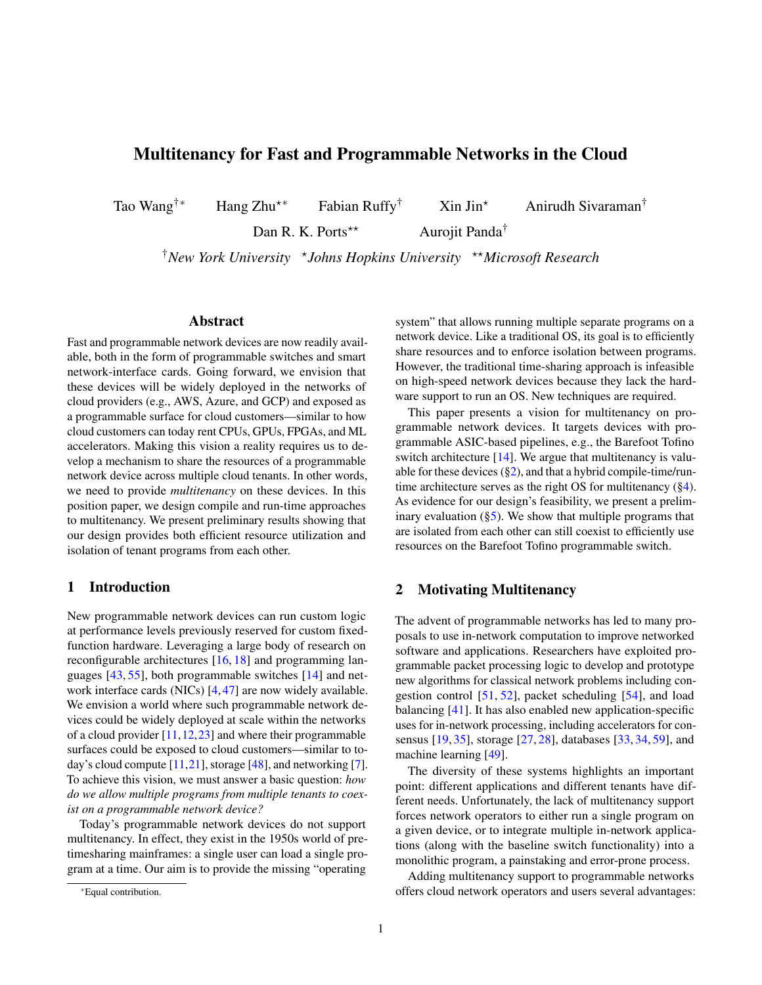# Multitenancy for Fast and Programmable Networks in the Cloud

Tao Wang<sup>†</sup>\* Hang Zhu<sup>\*\*</sup> Fabian Ruffy<sup>†</sup> Xin Jin<sup>\*</sup> Anirudh Sivaraman<sup>†</sup>

Dan R. K. Ports<sup>\*\*</sup> Aurojit Panda<sup>†</sup>

†*New York University* ? *Johns Hopkins University* ??*Microsoft Research*

#### Abstract

Fast and programmable network devices are now readily available, both in the form of programmable switches and smart network-interface cards. Going forward, we envision that these devices will be widely deployed in the networks of cloud providers (e.g., AWS, Azure, and GCP) and exposed as a programmable surface for cloud customers—similar to how cloud customers can today rent CPUs, GPUs, FPGAs, and ML accelerators. Making this vision a reality requires us to develop a mechanism to share the resources of a programmable network device across multiple cloud tenants. In other words, we need to provide *multitenancy* on these devices. In this position paper, we design compile and run-time approaches to multitenancy. We present preliminary results showing that our design provides both efficient resource utilization and isolation of tenant programs from each other.

# 1 Introduction

New programmable network devices can run custom logic at performance levels previously reserved for custom fixedfunction hardware. Leveraging a large body of research on reconfigurable architectures [\[16,](#page-5-0) [18\]](#page-6-0) and programming languages [\[43,](#page-7-0) [55\]](#page-7-1), both programmable switches [\[14\]](#page-5-1) and network interface cards (NICs) [\[4,](#page-5-2) [47\]](#page-7-2) are now widely available. We envision a world where such programmable network devices could be widely deployed at scale within the networks of a cloud provider [\[11,](#page-5-3)[12,](#page-5-4)[23\]](#page-6-1) and where their programmable surfaces could be exposed to cloud customers—similar to today's cloud compute  $[11,21]$  $[11,21]$ , storage  $[48]$ , and networking [\[7\]](#page-5-5). To achieve this vision, we must answer a basic question: *how do we allow multiple programs from multiple tenants to coexist on a programmable network device?*

Today's programmable network devices do not support multitenancy. In effect, they exist in the 1950s world of pretimesharing mainframes: a single user can load a single program at a time. Our aim is to provide the missing "operating

system" that allows running multiple separate programs on a network device. Like a traditional OS, its goal is to efficiently share resources and to enforce isolation between programs. However, the traditional time-sharing approach is infeasible on high-speed network devices because they lack the hardware support to run an OS. New techniques are required.

This paper presents a vision for multitenancy on programmable network devices. It targets devices with programmable ASIC-based pipelines, e.g., the Barefoot Tofino switch architecture [\[14\]](#page-5-1). We argue that multitenancy is valuable for these devices  $(\S2)$ , and that a hybrid compile-time/runtime architecture serves as the right OS for multitenancy ([§4\)](#page-1-0). As evidence for our design's feasibility, we present a preliminary evaluation  $(\S5)$ . We show that multiple programs that are isolated from each other can still coexist to efficiently use resources on the Barefoot Tofino programmable switch.

### <span id="page-0-0"></span>2 Motivating Multitenancy

The advent of programmable networks has led to many proposals to use in-network computation to improve networked software and applications. Researchers have exploited programmable packet processing logic to develop and prototype new algorithms for classical network problems including congestion control [\[51,](#page-7-4) [52\]](#page-7-5), packet scheduling [\[54\]](#page-7-6), and load balancing [\[41\]](#page-7-7). It has also enabled new application-specific uses for in-network processing, including accelerators for consensus [\[19,](#page-6-3) [35\]](#page-6-4), storage [\[27,](#page-6-5) [28\]](#page-6-6), databases [\[33,](#page-6-7) [34,](#page-6-8) [59\]](#page-7-8), and machine learning [\[49\]](#page-7-9).

The diversity of these systems highlights an important point: different applications and different tenants have different needs. Unfortunately, the lack of multitenancy support forces network operators to either run a single program on a given device, or to integrate multiple in-network applications (along with the baseline switch functionality) into a monolithic program, a painstaking and error-prone process.

Adding multitenancy support to programmable networks offers cloud network operators and users several advantages:

<sup>∗</sup>Equal contribution.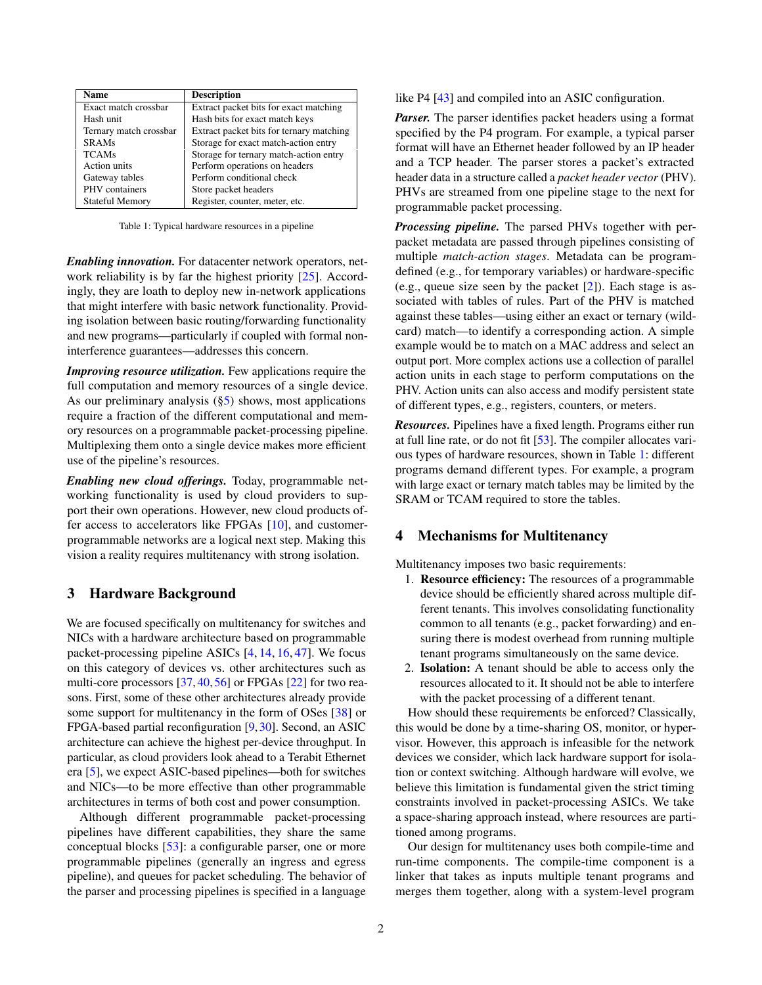<span id="page-1-1"></span>

| <b>Name</b>            | <b>Description</b>                       |
|------------------------|------------------------------------------|
| Exact match crossbar   | Extract packet bits for exact matching   |
| Hash unit              | Hash bits for exact match keys           |
| Ternary match crossbar | Extract packet bits for ternary matching |
| <b>SRAMs</b>           | Storage for exact match-action entry     |
| <b>TCAMs</b>           | Storage for ternary match-action entry   |
| <b>Action</b> units    | Perform operations on headers            |
| Gateway tables         | Perform conditional check                |
| PHV containers         | Store packet headers                     |
| <b>Stateful Memory</b> | Register, counter, meter, etc.           |

Table 1: Typical hardware resources in a pipeline

*Enabling innovation.* For datacenter network operators, network reliability is by far the highest priority [\[25\]](#page-6-9). Accordingly, they are loath to deploy new in-network applications that might interfere with basic network functionality. Providing isolation between basic routing/forwarding functionality and new programs—particularly if coupled with formal noninterference guarantees—addresses this concern.

*Improving resource utilization.* Few applications require the full computation and memory resources of a single device. As our preliminary analysis  $(\S5)$  shows, most applications require a fraction of the different computational and memory resources on a programmable packet-processing pipeline. Multiplexing them onto a single device makes more efficient use of the pipeline's resources.

*Enabling new cloud offerings.* Today, programmable networking functionality is used by cloud providers to support their own operations. However, new cloud products offer access to accelerators like FPGAs [\[10\]](#page-5-6), and customerprogrammable networks are a logical next step. Making this vision a reality requires multitenancy with strong isolation.

### 3 Hardware Background

We are focused specifically on multitenancy for switches and NICs with a hardware architecture based on programmable packet-processing pipeline ASICs [\[4,](#page-5-2) [14,](#page-5-1) [16,](#page-5-0) [47\]](#page-7-2). We focus on this category of devices vs. other architectures such as multi-core processors [\[37,](#page-6-10) [40,](#page-7-10) [56\]](#page-7-11) or FPGAs [\[22\]](#page-6-11) for two reasons. First, some of these other architectures already provide some support for multitenancy in the form of OSes [\[38\]](#page-6-12) or FPGA-based partial reconfiguration [\[9,](#page-5-7) [30\]](#page-6-13). Second, an ASIC architecture can achieve the highest per-device throughput. In particular, as cloud providers look ahead to a Terabit Ethernet era [\[5\]](#page-5-8), we expect ASIC-based pipelines—both for switches and NICs—to be more effective than other programmable architectures in terms of both cost and power consumption.

Although different programmable packet-processing pipelines have different capabilities, they share the same conceptual blocks [\[53\]](#page-7-12): a configurable parser, one or more programmable pipelines (generally an ingress and egress pipeline), and queues for packet scheduling. The behavior of the parser and processing pipelines is specified in a language

like P4 [\[43\]](#page-7-0) and compiled into an ASIC configuration.

*Parser.* The parser identifies packet headers using a format specified by the P4 program. For example, a typical parser format will have an Ethernet header followed by an IP header and a TCP header. The parser stores a packet's extracted header data in a structure called a *packet header vector* (PHV). PHVs are streamed from one pipeline stage to the next for programmable packet processing.

*Processing pipeline.* The parsed PHVs together with perpacket metadata are passed through pipelines consisting of multiple *match-action stages*. Metadata can be programdefined (e.g., for temporary variables) or hardware-specific (e.g., queue size seen by the packet  $[2]$ ). Each stage is associated with tables of rules. Part of the PHV is matched against these tables—using either an exact or ternary (wildcard) match—to identify a corresponding action. A simple example would be to match on a MAC address and select an output port. More complex actions use a collection of parallel action units in each stage to perform computations on the PHV. Action units can also access and modify persistent state of different types, e.g., registers, counters, or meters.

*Resources.* Pipelines have a fixed length. Programs either run at full line rate, or do not fit [\[53\]](#page-7-12). The compiler allocates various types of hardware resources, shown in Table [1:](#page-1-1) different programs demand different types. For example, a program with large exact or ternary match tables may be limited by the SRAM or TCAM required to store the tables.

#### <span id="page-1-0"></span>4 Mechanisms for Multitenancy

Multitenancy imposes two basic requirements:

- 1. Resource efficiency: The resources of a programmable device should be efficiently shared across multiple different tenants. This involves consolidating functionality common to all tenants (e.g., packet forwarding) and ensuring there is modest overhead from running multiple tenant programs simultaneously on the same device.
- 2. Isolation: A tenant should be able to access only the resources allocated to it. It should not be able to interfere with the packet processing of a different tenant.

How should these requirements be enforced? Classically, this would be done by a time-sharing OS, monitor, or hypervisor. However, this approach is infeasible for the network devices we consider, which lack hardware support for isolation or context switching. Although hardware will evolve, we believe this limitation is fundamental given the strict timing constraints involved in packet-processing ASICs. We take a space-sharing approach instead, where resources are partitioned among programs.

Our design for multitenancy uses both compile-time and run-time components. The compile-time component is a linker that takes as inputs multiple tenant programs and merges them together, along with a system-level program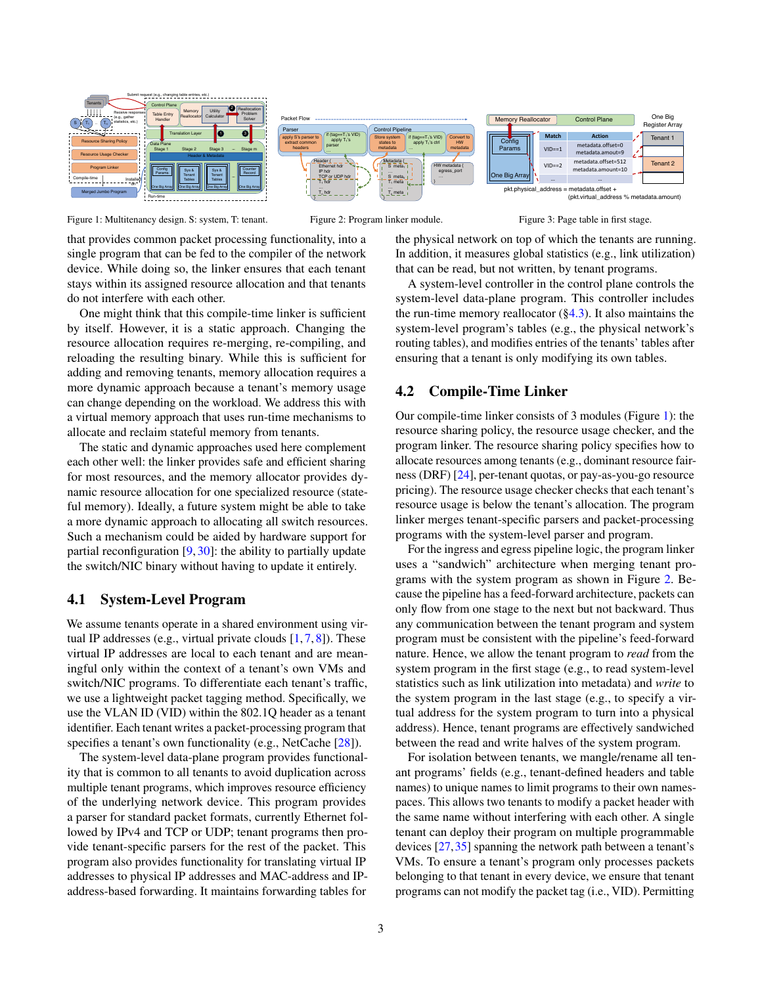<span id="page-2-0"></span>

Figure 1: Multitenancy design. S: system, T: tenant.

that provides common packet processing functionality, into a single program that can be fed to the compiler of the network device. While doing so, the linker ensures that each tenant stays within its assigned resource allocation and that tenants do not interfere with each other.

One might think that this compile-time linker is sufficient by itself. However, it is a static approach. Changing the resource allocation requires re-merging, re-compiling, and reloading the resulting binary. While this is sufficient for adding and removing tenants, memory allocation requires a more dynamic approach because a tenant's memory usage can change depending on the workload. We address this with a virtual memory approach that uses run-time mechanisms to allocate and reclaim stateful memory from tenants.

The static and dynamic approaches used here complement each other well: the linker provides safe and efficient sharing for most resources, and the memory allocator provides dynamic resource allocation for one specialized resource (stateful memory). Ideally, a future system might be able to take a more dynamic approach to allocating all switch resources. Such a mechanism could be aided by hardware support for partial reconfiguration [\[9,](#page-5-7) [30\]](#page-6-13): the ability to partially update the switch/NIC binary without having to update it entirely.

#### 4.1 System-Level Program

We assume tenants operate in a shared environment using virtual IP addresses (e.g., virtual private clouds  $[1, 7, 8]$  $[1, 7, 8]$  $[1, 7, 8]$  $[1, 7, 8]$  $[1, 7, 8]$ ). These virtual IP addresses are local to each tenant and are meaningful only within the context of a tenant's own VMs and switch/NIC programs. To differentiate each tenant's traffic, we use a lightweight packet tagging method. Specifically, we use the VLAN ID (VID) within the 802.1Q header as a tenant identifier. Each tenant writes a packet-processing program that specifies a tenant's own functionality (e.g., NetCache [\[28\]](#page-6-6)).

The system-level data-plane program provides functionality that is common to all tenants to avoid duplication across multiple tenant programs, which improves resource efficiency of the underlying network device. This program provides a parser for standard packet formats, currently Ethernet followed by IPv4 and TCP or UDP; tenant programs then provide tenant-specific parsers for the rest of the packet. This program also provides functionality for translating virtual IP addresses to physical IP addresses and MAC-address and IPaddress-based forwarding. It maintains forwarding tables for



Figure 2: Program linker module.

Figure 3: Page table in first stage.

the physical network on top of which the tenants are running. In addition, it measures global statistics (e.g., link utilization) that can be read, but not written, by tenant programs.

A system-level controller in the control plane controls the system-level data-plane program. This controller includes the run-time memory reallocator  $(\S 4.3)$ . It also maintains the system-level program's tables (e.g., the physical network's routing tables), and modifies entries of the tenants' tables after ensuring that a tenant is only modifying its own tables.

### <span id="page-2-1"></span>4.2 Compile-Time Linker

Our compile-time linker consists of 3 modules (Figure [1\)](#page-2-0): the resource sharing policy, the resource usage checker, and the program linker. The resource sharing policy specifies how to allocate resources among tenants (e.g., dominant resource fairness (DRF) [\[24\]](#page-6-14), per-tenant quotas, or pay-as-you-go resource pricing). The resource usage checker checks that each tenant's resource usage is below the tenant's allocation. The program linker merges tenant-specific parsers and packet-processing programs with the system-level parser and program.

For the ingress and egress pipeline logic, the program linker uses a "sandwich" architecture when merging tenant programs with the system program as shown in Figure [2.](#page-2-0) Because the pipeline has a feed-forward architecture, packets can only flow from one stage to the next but not backward. Thus any communication between the tenant program and system program must be consistent with the pipeline's feed-forward nature. Hence, we allow the tenant program to *read* from the system program in the first stage (e.g., to read system-level statistics such as link utilization into metadata) and *write* to the system program in the last stage (e.g., to specify a virtual address for the system program to turn into a physical address). Hence, tenant programs are effectively sandwiched between the read and write halves of the system program.

For isolation between tenants, we mangle/rename all tenant programs' fields (e.g., tenant-defined headers and table names) to unique names to limit programs to their own namespaces. This allows two tenants to modify a packet header with the same name without interfering with each other. A single tenant can deploy their program on multiple programmable devices [\[27,](#page-6-5)[35\]](#page-6-4) spanning the network path between a tenant's VMs. To ensure a tenant's program only processes packets belonging to that tenant in every device, we ensure that tenant programs can not modify the packet tag (i.e., VID). Permitting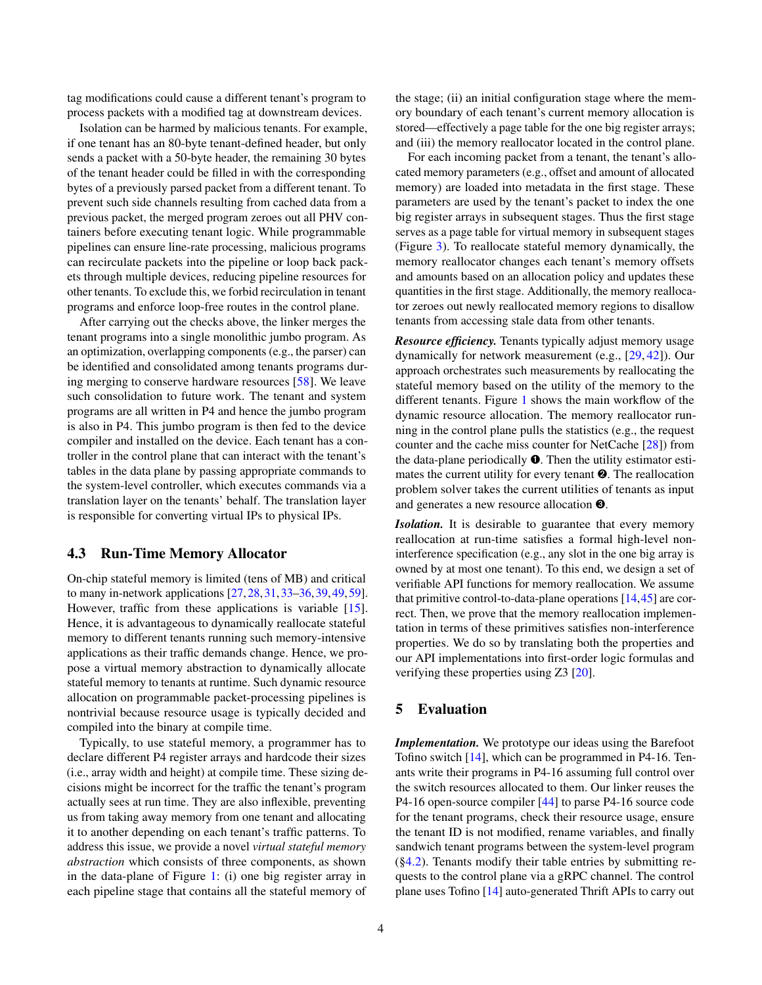tag modifications could cause a different tenant's program to process packets with a modified tag at downstream devices.

Isolation can be harmed by malicious tenants. For example, if one tenant has an 80-byte tenant-defined header, but only sends a packet with a 50-byte header, the remaining 30 bytes of the tenant header could be filled in with the corresponding bytes of a previously parsed packet from a different tenant. To prevent such side channels resulting from cached data from a previous packet, the merged program zeroes out all PHV containers before executing tenant logic. While programmable pipelines can ensure line-rate processing, malicious programs can recirculate packets into the pipeline or loop back packets through multiple devices, reducing pipeline resources for other tenants. To exclude this, we forbid recirculation in tenant programs and enforce loop-free routes in the control plane.

After carrying out the checks above, the linker merges the tenant programs into a single monolithic jumbo program. As an optimization, overlapping components (e.g., the parser) can be identified and consolidated among tenants programs during merging to conserve hardware resources [\[58\]](#page-7-13). We leave such consolidation to future work. The tenant and system programs are all written in P4 and hence the jumbo program is also in P4. This jumbo program is then fed to the device compiler and installed on the device. Each tenant has a controller in the control plane that can interact with the tenant's tables in the data plane by passing appropriate commands to the system-level controller, which executes commands via a translation layer on the tenants' behalf. The translation layer is responsible for converting virtual IPs to physical IPs.

### <span id="page-3-1"></span>4.3 Run-Time Memory Allocator

On-chip stateful memory is limited (tens of MB) and critical to many in-network applications [\[27,](#page-6-5)[28,](#page-6-6)[31,](#page-6-15)[33](#page-6-7)[–36,](#page-6-16)[39,](#page-6-17)[49,](#page-7-9)[59\]](#page-7-8). However, traffic from these applications is variable [\[15\]](#page-5-12). Hence, it is advantageous to dynamically reallocate stateful memory to different tenants running such memory-intensive applications as their traffic demands change. Hence, we propose a virtual memory abstraction to dynamically allocate stateful memory to tenants at runtime. Such dynamic resource allocation on programmable packet-processing pipelines is nontrivial because resource usage is typically decided and compiled into the binary at compile time.

Typically, to use stateful memory, a programmer has to declare different P4 register arrays and hardcode their sizes (i.e., array width and height) at compile time. These sizing decisions might be incorrect for the traffic the tenant's program actually sees at run time. They are also inflexible, preventing us from taking away memory from one tenant and allocating it to another depending on each tenant's traffic patterns. To address this issue, we provide a novel *virtual stateful memory abstraction* which consists of three components, as shown in the data-plane of Figure [1:](#page-2-0) (i) one big register array in each pipeline stage that contains all the stateful memory of

the stage; (ii) an initial configuration stage where the memory boundary of each tenant's current memory allocation is stored—effectively a page table for the one big register arrays; and (iii) the memory reallocator located in the control plane.

For each incoming packet from a tenant, the tenant's allocated memory parameters (e.g., offset and amount of allocated memory) are loaded into metadata in the first stage. These parameters are used by the tenant's packet to index the one big register arrays in subsequent stages. Thus the first stage serves as a page table for virtual memory in subsequent stages (Figure [3\)](#page-2-0). To reallocate stateful memory dynamically, the memory reallocator changes each tenant's memory offsets and amounts based on an allocation policy and updates these quantities in the first stage. Additionally, the memory reallocator zeroes out newly reallocated memory regions to disallow tenants from accessing stale data from other tenants.

*Resource efficiency.* Tenants typically adjust memory usage dynamically for network measurement (e.g., [\[29,](#page-6-18) [42\]](#page-7-14)). Our approach orchestrates such measurements by reallocating the stateful memory based on the utility of the memory to the different tenants. Figure [1](#page-2-0) shows the main workflow of the dynamic resource allocation. The memory reallocator running in the control plane pulls the statistics (e.g., the request counter and the cache miss counter for NetCache [\[28\]](#page-6-6)) from the data-plane periodically  $\bullet$ . Then the utility estimator estimates the current utility for every tenant ➋. The reallocation problem solver takes the current utilities of tenants as input and generates a new resource allocation ➌.

*Isolation.* It is desirable to guarantee that every memory reallocation at run-time satisfies a formal high-level noninterference specification (e.g., any slot in the one big array is owned by at most one tenant). To this end, we design a set of verifiable API functions for memory reallocation. We assume that primitive control-to-data-plane operations [\[14,](#page-5-1)[45\]](#page-7-15) are correct. Then, we prove that the memory reallocation implementation in terms of these primitives satisfies non-interference properties. We do so by translating both the properties and our API implementations into first-order logic formulas and verifying these properties using Z3 [\[20\]](#page-6-19).

### <span id="page-3-0"></span>5 Evaluation

*Implementation.* We prototype our ideas using the Barefoot Tofino switch [\[14\]](#page-5-1), which can be programmed in P4-16. Tenants write their programs in P4-16 assuming full control over the switch resources allocated to them. Our linker reuses the P4-16 open-source compiler [\[44\]](#page-7-16) to parse P4-16 source code for the tenant programs, check their resource usage, ensure the tenant ID is not modified, rename variables, and finally sandwich tenant programs between the system-level program ([§4.2\)](#page-2-1). Tenants modify their table entries by submitting requests to the control plane via a gRPC channel. The control plane uses Tofino [\[14\]](#page-5-1) auto-generated Thrift APIs to carry out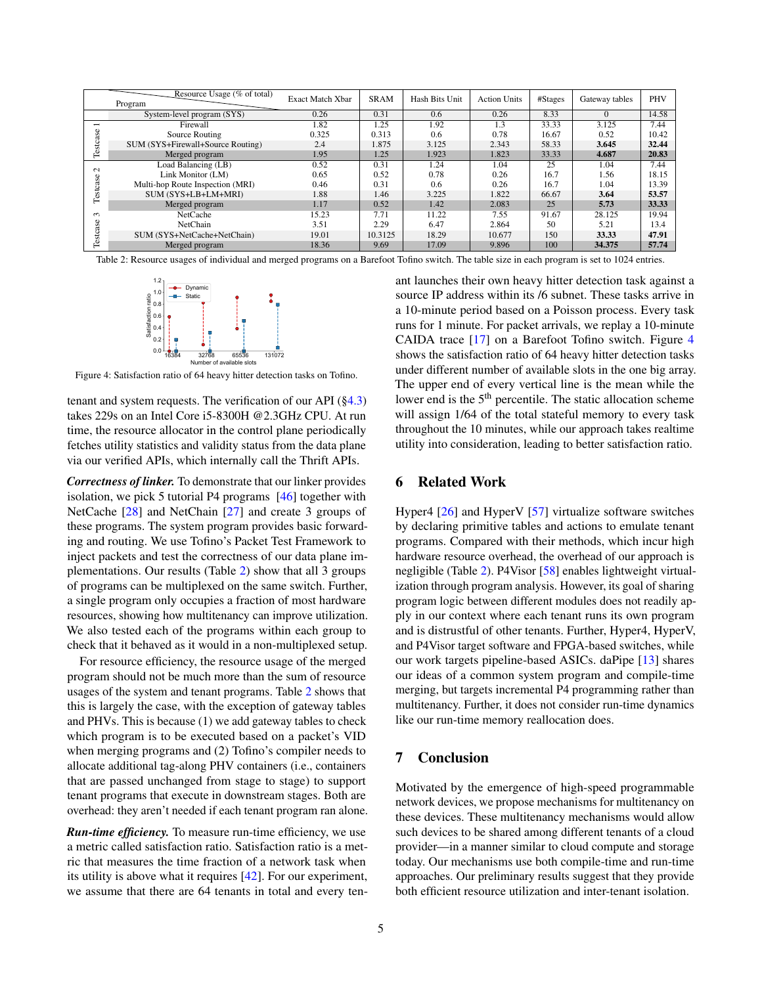<span id="page-4-0"></span>

|                    | Resource Usage (% of total)<br>Program | <b>Exact Match Xbar</b> | <b>SRAM</b> | Hash Bits Unit | <b>Action Units</b> | #Stages | Gateway tables | <b>PHV</b> |
|--------------------|----------------------------------------|-------------------------|-------------|----------------|---------------------|---------|----------------|------------|
|                    | System-level program (SYS)             | 0.26                    | 0.31        | 0.6            | 0.26                | 8.33    | $\Omega$       | 14.58      |
| −<br>Φ<br>Testcas  | Firewall                               | 1.82                    | 1.25        | 1.92           | 1.3                 | 33.33   | 3.125          | 7.44       |
|                    | Source Routing                         | 0.325                   | 0.313       | 0.6            | 0.78                | 16.67   | 0.52           | 10.42      |
|                    | SUM (SYS+Firewall+Source Routing)      | 2.4                     | 1.875       | 3.125          | 2.343               | 58.33   | 3.645          | 32.44      |
|                    | Merged program                         | 1.95                    | 1.25        | 1.923          | 1.823               | 33.33   | 4.687          | 20.83      |
| $\sim$<br>Testcase | Load Balancing (LB)                    | 0.52                    | 0.31        | 1.24           | 1.04                | 25      | 1.04           | 7.44       |
|                    | Link Monitor (LM)                      | 0.65                    | 0.52        | 0.78           | 0.26                | 16.7    | 1.56           | 18.15      |
|                    | Multi-hop Route Inspection (MRI)       | 0.46                    | 0.31        | 0.6            | 0.26                | 16.7    | 1.04           | 13.39      |
|                    | SUM (SYS+LB+LM+MRI)                    | 1.88                    | 1.46        | 3.225          | 1.822               | 66.67   | 3.64           | 53.57      |
|                    | Merged program                         | 1.17                    | 0.52        | 1.42           | 2.083               | 25      | 5.73           | 33.33      |
| $\sim$<br>Testcase | NetCache                               | 15.23                   | 7.71        | 11.22          | 7.55                | 91.67   | 28.125         | 19.94      |
|                    | NetChain                               | 3.51                    | 2.29        | 6.47           | 2.864               | 50      | 5.21           | 13.4       |
|                    | SUM (SYS+NetCache+NetChain)            | 19.01                   | 10.3125     | 18.29          | 10.677              | 150     | 33.33          | 47.91      |
|                    | Merged program                         | 18.36                   | 9.69        | 17.09          | 9.896               | 100     | 34.375         | 57.74      |

<span id="page-4-1"></span>Table 2: Resource usages of individual and merged programs on a Barefoot Tofino switch. The table size in each program is set to 1024 entries.



Figure 4: Satisfaction ratio of 64 heavy hitter detection tasks on Tofino.

tenant and system requests. The verification of our API  $(\S 4.3)$ takes 229s on an Intel Core i5-8300H @2.3GHz CPU. At run time, the resource allocator in the control plane periodically fetches utility statistics and validity status from the data plane via our verified APIs, which internally call the Thrift APIs.

*Correctness of linker.* To demonstrate that our linker provides isolation, we pick 5 tutorial P4 programs [\[46\]](#page-7-17) together with NetCache [\[28\]](#page-6-6) and NetChain [\[27\]](#page-6-5) and create 3 groups of these programs. The system program provides basic forwarding and routing. We use Tofino's Packet Test Framework to inject packets and test the correctness of our data plane implementations. Our results (Table [2\)](#page-4-0) show that all 3 groups of programs can be multiplexed on the same switch. Further, a single program only occupies a fraction of most hardware resources, showing how multitenancy can improve utilization. We also tested each of the programs within each group to check that it behaved as it would in a non-multiplexed setup.

For resource efficiency, the resource usage of the merged program should not be much more than the sum of resource usages of the system and tenant programs. Table [2](#page-4-0) shows that this is largely the case, with the exception of gateway tables and PHVs. This is because (1) we add gateway tables to check which program is to be executed based on a packet's VID when merging programs and (2) Tofino's compiler needs to allocate additional tag-along PHV containers (i.e., containers that are passed unchanged from stage to stage) to support tenant programs that execute in downstream stages. Both are overhead: they aren't needed if each tenant program ran alone.

*Run-time efficiency.* To measure run-time efficiency, we use a metric called satisfaction ratio. Satisfaction ratio is a metric that measures the time fraction of a network task when its utility is above what it requires [\[42\]](#page-7-14). For our experiment, we assume that there are 64 tenants in total and every tenant launches their own heavy hitter detection task against a source IP address within its /6 subnet. These tasks arrive in a 10-minute period based on a Poisson process. Every task runs for 1 minute. For packet arrivals, we replay a 10-minute CAIDA trace [\[17\]](#page-6-20) on a Barefoot Tofino switch. Figure [4](#page-4-1) shows the satisfaction ratio of 64 heavy hitter detection tasks under different number of available slots in the one big array. The upper end of every vertical line is the mean while the lower end is the 5<sup>th</sup> percentile. The static allocation scheme will assign 1/64 of the total stateful memory to every task throughout the 10 minutes, while our approach takes realtime utility into consideration, leading to better satisfaction ratio.

### 6 Related Work

Hyper4 [\[26\]](#page-6-21) and HyperV [\[57\]](#page-7-18) virtualize software switches by declaring primitive tables and actions to emulate tenant programs. Compared with their methods, which incur high hardware resource overhead, the overhead of our approach is negligible (Table [2\)](#page-4-0). P4Visor [\[58\]](#page-7-13) enables lightweight virtualization through program analysis. However, its goal of sharing program logic between different modules does not readily apply in our context where each tenant runs its own program and is distrustful of other tenants. Further, Hyper4, HyperV, and P4Visor target software and FPGA-based switches, while our work targets pipeline-based ASICs. daPipe [\[13\]](#page-5-13) shares our ideas of a common system program and compile-time merging, but targets incremental P4 programming rather than multitenancy. Further, it does not consider run-time dynamics like our run-time memory reallocation does.

# 7 Conclusion

Motivated by the emergence of high-speed programmable network devices, we propose mechanisms for multitenancy on these devices. These multitenancy mechanisms would allow such devices to be shared among different tenants of a cloud provider—in a manner similar to cloud compute and storage today. Our mechanisms use both compile-time and run-time approaches. Our preliminary results suggest that they provide both efficient resource utilization and inter-tenant isolation.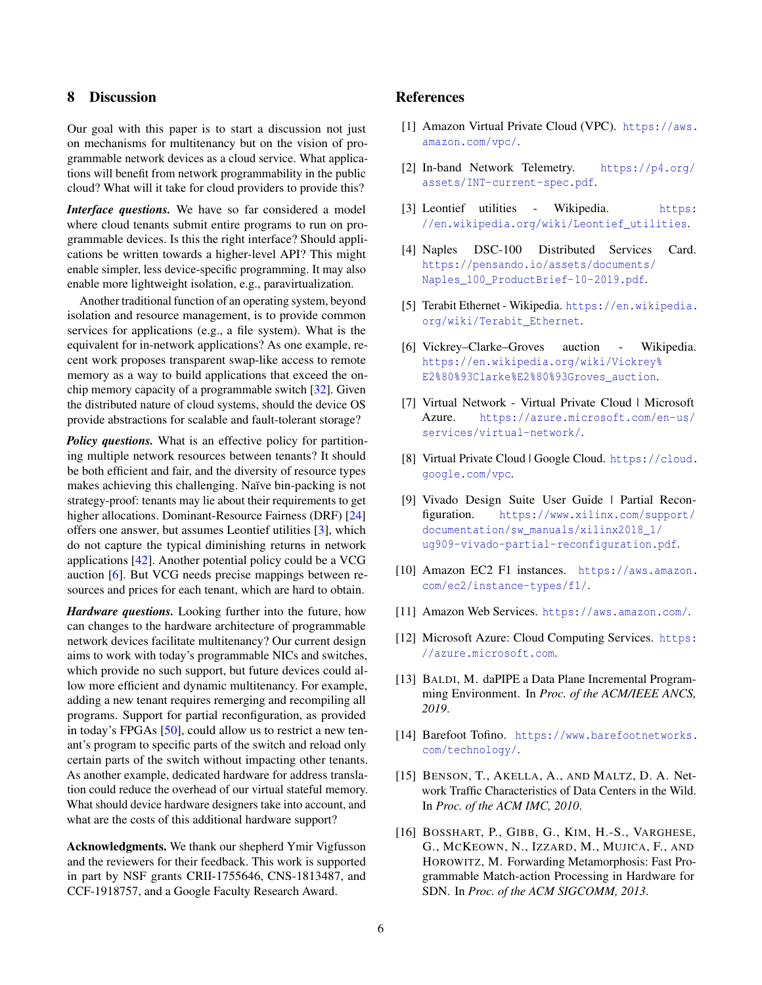# 8 Discussion

Our goal with this paper is to start a discussion not just on mechanisms for multitenancy but on the vision of programmable network devices as a cloud service. What applications will benefit from network programmability in the public cloud? What will it take for cloud providers to provide this?

*Interface questions.* We have so far considered a model where cloud tenants submit entire programs to run on programmable devices. Is this the right interface? Should applications be written towards a higher-level API? This might enable simpler, less device-specific programming. It may also enable more lightweight isolation, e.g., paravirtualization.

Another traditional function of an operating system, beyond isolation and resource management, is to provide common services for applications (e.g., a file system). What is the equivalent for in-network applications? As one example, recent work proposes transparent swap-like access to remote memory as a way to build applications that exceed the onchip memory capacity of a programmable switch [\[32\]](#page-6-22). Given the distributed nature of cloud systems, should the device OS provide abstractions for scalable and fault-tolerant storage?

*Policy questions.* What is an effective policy for partitioning multiple network resources between tenants? It should be both efficient and fair, and the diversity of resource types makes achieving this challenging. Naïve bin-packing is not strategy-proof: tenants may lie about their requirements to get higher allocations. Dominant-Resource Fairness (DRF) [\[24\]](#page-6-14) offers one answer, but assumes Leontief utilities [\[3\]](#page-5-14), which do not capture the typical diminishing returns in network applications [\[42\]](#page-7-14). Another potential policy could be a VCG auction [\[6\]](#page-5-15). But VCG needs precise mappings between resources and prices for each tenant, which are hard to obtain.

*Hardware questions.* Looking further into the future, how can changes to the hardware architecture of programmable network devices facilitate multitenancy? Our current design aims to work with today's programmable NICs and switches, which provide no such support, but future devices could allow more efficient and dynamic multitenancy. For example, adding a new tenant requires remerging and recompiling all programs. Support for partial reconfiguration, as provided in today's FPGAs [\[50\]](#page-7-19), could allow us to restrict a new tenant's program to specific parts of the switch and reload only certain parts of the switch without impacting other tenants. As another example, dedicated hardware for address translation could reduce the overhead of our virtual stateful memory. What should device hardware designers take into account, and what are the costs of this additional hardware support?

Acknowledgments. We thank our shepherd Ymir Vigfusson and the reviewers for their feedback. This work is supported in part by NSF grants CRII-1755646, CNS-1813487, and CCF-1918757, and a Google Faculty Research Award.

# References

- <span id="page-5-10"></span>[1] Amazon Virtual Private Cloud (VPC). [https://aws.](https://aws.amazon.com/vpc/) [amazon.com/vpc/](https://aws.amazon.com/vpc/).
- <span id="page-5-9"></span>[2] In-band Network Telemetry. [https://p4.org/](https://p4.org/assets/INT-current-spec.pdf) [assets/INT-current-spec.pdf](https://p4.org/assets/INT-current-spec.pdf).
- <span id="page-5-14"></span>[3] Leontief utilities - Wikipedia. [https:](https://en.wikipedia.org/wiki/Leontief_utilities) [//en.wikipedia.org/wiki/Leontief\\_utilities](https://en.wikipedia.org/wiki/Leontief_utilities).
- <span id="page-5-2"></span>[4] Naples DSC-100 Distributed Services Card. [https://pensando.io/assets/documents/](https://pensando.io/assets/documents/Naples_100_ProductBrief-10-2019.pdf) [Naples\\_100\\_ProductBrief-10-2019.pdf](https://pensando.io/assets/documents/Naples_100_ProductBrief-10-2019.pdf).
- <span id="page-5-8"></span>[5] Terabit Ethernet - Wikipedia. [https://en.wikipedia.](https://en.wikipedia.org/wiki/Terabit_Ethernet) [org/wiki/Terabit\\_Ethernet](https://en.wikipedia.org/wiki/Terabit_Ethernet).
- <span id="page-5-15"></span>[6] Vickrey–Clarke–Groves auction - Wikipedia. [https://en.wikipedia.org/wiki/Vickrey%](https://en.wikipedia.org/wiki/Vickrey%E2%80%93Clarke%E2%80%93Groves_auction) [E2%80%93Clarke%E2%80%93Groves\\_auction](https://en.wikipedia.org/wiki/Vickrey%E2%80%93Clarke%E2%80%93Groves_auction).
- <span id="page-5-5"></span>[7] Virtual Network - Virtual Private Cloud | Microsoft Azure. [https://azure.microsoft.com/en-us/](https://azure.microsoft.com/en-us/services/virtual-network/) [services/virtual-network/](https://azure.microsoft.com/en-us/services/virtual-network/).
- <span id="page-5-11"></span>[8] Virtual Private Cloud | Google Cloud. [https://cloud.](https://cloud.google.com/vpc) [google.com/vpc](https://cloud.google.com/vpc).
- <span id="page-5-7"></span>[9] Vivado Design Suite User Guide | Partial Reconfiguration. [https://www.xilinx.com/support/](https://www.xilinx.com/support/documentation/sw_manuals/xilinx2018_1/ug909-vivado-partial-reconfiguration.pdf) [documentation/sw\\_manuals/xilinx2018\\_1/](https://www.xilinx.com/support/documentation/sw_manuals/xilinx2018_1/ug909-vivado-partial-reconfiguration.pdf) [ug909-vivado-partial-reconfiguration.pdf](https://www.xilinx.com/support/documentation/sw_manuals/xilinx2018_1/ug909-vivado-partial-reconfiguration.pdf).
- <span id="page-5-6"></span>[10] Amazon EC2 F1 instances. [https://aws.amazon.](https://aws.amazon.com/ec2/instance-types/f1/) [com/ec2/instance-types/f1/](https://aws.amazon.com/ec2/instance-types/f1/).
- <span id="page-5-3"></span>[11] Amazon Web Services. <https://aws.amazon.com/>.
- <span id="page-5-4"></span>[12] Microsoft Azure: Cloud Computing Services. [https:](https://azure.microsoft.com) [//azure.microsoft.com](https://azure.microsoft.com).
- <span id="page-5-13"></span>[13] BALDI, M. daPIPE a Data Plane Incremental Programming Environment. In *Proc. of the ACM/IEEE ANCS, 2019*.
- <span id="page-5-1"></span>[14] Barefoot Tofino. [https://www.barefootnetworks.](https://www.barefootnetworks.com/technology/) [com/technology/](https://www.barefootnetworks.com/technology/).
- <span id="page-5-12"></span>[15] BENSON, T., AKELLA, A., AND MALTZ, D. A. Network Traffic Characteristics of Data Centers in the Wild. In *Proc. of the ACM IMC, 2010*.
- <span id="page-5-0"></span>[16] BOSSHART, P., GIBB, G., KIM, H.-S., VARGHESE, G., MCKEOWN, N., IZZARD, M., MUJICA, F., AND HOROWITZ, M. Forwarding Metamorphosis: Fast Programmable Match-action Processing in Hardware for SDN. In *Proc. of the ACM SIGCOMM, 2013*.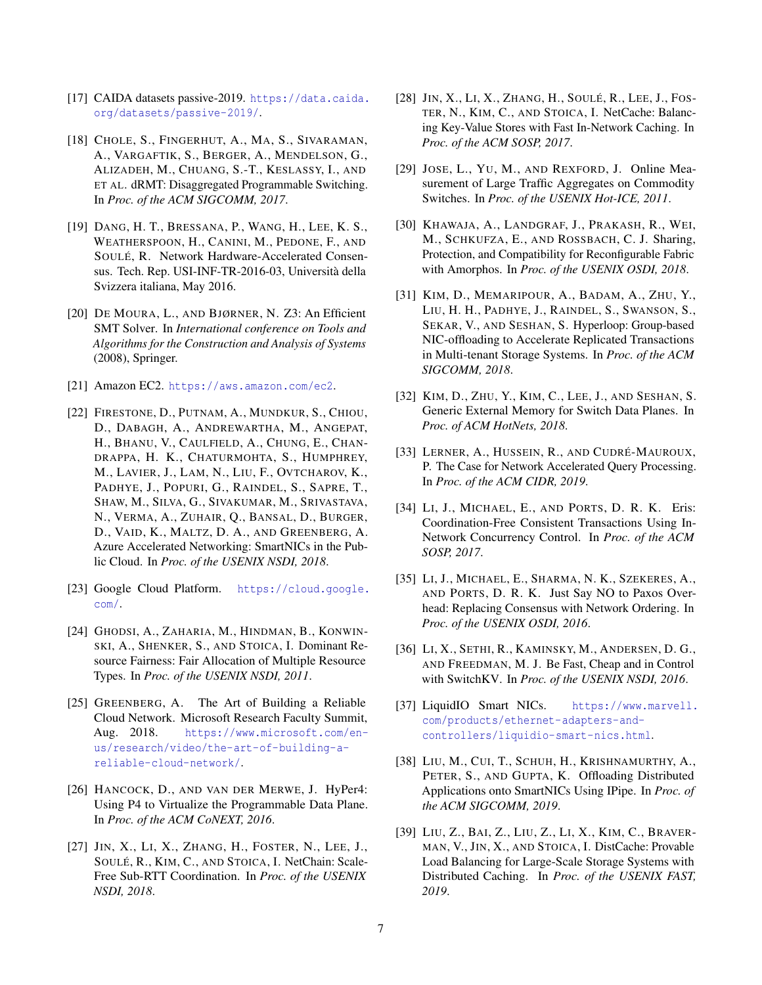- <span id="page-6-20"></span>[17] CAIDA datasets passive-2019. [https://data.caida.](https://data.caida.org/datasets/passive-2019/) [org/datasets/passive-2019/](https://data.caida.org/datasets/passive-2019/).
- <span id="page-6-0"></span>[18] CHOLE, S., FINGERHUT, A., MA, S., SIVARAMAN, A., VARGAFTIK, S., BERGER, A., MENDELSON, G., ALIZADEH, M., CHUANG, S.-T., KESLASSY, I., AND ET AL. dRMT: Disaggregated Programmable Switching. In *Proc. of the ACM SIGCOMM, 2017*.
- <span id="page-6-3"></span>[19] DANG, H. T., BRESSANA, P., WANG, H., LEE, K. S., WEATHERSPOON, H., CANINI, M., PEDONE, F., AND SOULÉ, R. Network Hardware-Accelerated Consensus. Tech. Rep. USI-INF-TR-2016-03, Università della Svizzera italiana, May 2016.
- <span id="page-6-19"></span>[20] DE MOURA, L., AND BJØRNER, N. Z3: An Efficient SMT Solver. In *International conference on Tools and Algorithms for the Construction and Analysis of Systems* (2008), Springer.
- <span id="page-6-2"></span>[21] Amazon EC2. <https://aws.amazon.com/ec2>.
- <span id="page-6-11"></span>[22] FIRESTONE, D., PUTNAM, A., MUNDKUR, S., CHIOU, D., DABAGH, A., ANDREWARTHA, M., ANGEPAT, H., BHANU, V., CAULFIELD, A., CHUNG, E., CHAN-DRAPPA, H. K., CHATURMOHTA, S., HUMPHREY, M., LAVIER, J., LAM, N., LIU, F., OVTCHAROV, K., PADHYE, J., POPURI, G., RAINDEL, S., SAPRE, T., SHAW, M., SILVA, G., SIVAKUMAR, M., SRIVASTAVA, N., VERMA, A., ZUHAIR, Q., BANSAL, D., BURGER, D., VAID, K., MALTZ, D. A., AND GREENBERG, A. Azure Accelerated Networking: SmartNICs in the Public Cloud. In *Proc. of the USENIX NSDI, 2018*.
- <span id="page-6-1"></span>[23] Google Cloud Platform. [https://cloud.google.](https://cloud.google.com/) [com/](https://cloud.google.com/).
- <span id="page-6-14"></span>[24] GHODSI, A., ZAHARIA, M., HINDMAN, B., KONWIN-SKI, A., SHENKER, S., AND STOICA, I. Dominant Resource Fairness: Fair Allocation of Multiple Resource Types. In *Proc. of the USENIX NSDI, 2011*.
- <span id="page-6-9"></span>[25] GREENBERG, A. The Art of Building a Reliable Cloud Network. Microsoft Research Faculty Summit, Aug. 2018. [https://www.microsoft.com/en](https://www.microsoft.com/en-us/research/video/the-art-of-building-a-reliable-cloud-network/)[us/research/video/the-art-of-building-a](https://www.microsoft.com/en-us/research/video/the-art-of-building-a-reliable-cloud-network/)[reliable-cloud-network/](https://www.microsoft.com/en-us/research/video/the-art-of-building-a-reliable-cloud-network/).
- <span id="page-6-21"></span>[26] HANCOCK, D., AND VAN DER MERWE, J. HyPer4: Using P4 to Virtualize the Programmable Data Plane. In *Proc. of the ACM CoNEXT, 2016*.
- <span id="page-6-5"></span>[27] JIN, X., LI, X., ZHANG, H., FOSTER, N., LEE, J., SOULÉ, R., KIM, C., AND STOICA, I. NetChain: Scale-Free Sub-RTT Coordination. In *Proc. of the USENIX NSDI, 2018*.
- <span id="page-6-6"></span>[28] JIN, X., LI, X., ZHANG, H., SOULÉ, R., LEE, J., FOS-TER, N., KIM, C., AND STOICA, I. NetCache: Balancing Key-Value Stores with Fast In-Network Caching. In *Proc. of the ACM SOSP, 2017*.
- <span id="page-6-18"></span>[29] JOSE, L., YU, M., AND REXFORD, J. Online Measurement of Large Traffic Aggregates on Commodity Switches. In *Proc. of the USENIX Hot-ICE, 2011*.
- <span id="page-6-13"></span>[30] KHAWAJA, A., LANDGRAF, J., PRAKASH, R., WEI, M., SCHKUFZA, E., AND ROSSBACH, C. J. Sharing, Protection, and Compatibility for Reconfigurable Fabric with Amorphos. In *Proc. of the USENIX OSDI, 2018*.
- <span id="page-6-15"></span>[31] KIM, D., MEMARIPOUR, A., BADAM, A., ZHU, Y., LIU, H. H., PADHYE, J., RAINDEL, S., SWANSON, S., SEKAR, V., AND SESHAN, S. Hyperloop: Group-based NIC-offloading to Accelerate Replicated Transactions in Multi-tenant Storage Systems. In *Proc. of the ACM SIGCOMM, 2018*.
- <span id="page-6-22"></span>[32] KIM, D., ZHU, Y., KIM, C., LEE, J., AND SESHAN, S. Generic External Memory for Switch Data Planes. In *Proc. of ACM HotNets, 2018*.
- <span id="page-6-7"></span>[33] LERNER, A., HUSSEIN, R., AND CUDRÉ-MAUROUX, P. The Case for Network Accelerated Query Processing. In *Proc. of the ACM CIDR, 2019*.
- <span id="page-6-8"></span>[34] LI, J., MICHAEL, E., AND PORTS, D. R. K. Eris: Coordination-Free Consistent Transactions Using In-Network Concurrency Control. In *Proc. of the ACM SOSP, 2017*.
- <span id="page-6-4"></span>[35] LI, J., MICHAEL, E., SHARMA, N. K., SZEKERES, A., AND PORTS, D. R. K. Just Say NO to Paxos Overhead: Replacing Consensus with Network Ordering. In *Proc. of the USENIX OSDI, 2016*.
- <span id="page-6-16"></span>[36] LI, X., SETHI, R., KAMINSKY, M., ANDERSEN, D. G., AND FREEDMAN, M. J. Be Fast, Cheap and in Control with SwitchKV. In *Proc. of the USENIX NSDI, 2016*.
- <span id="page-6-10"></span>[37] LiquidIO Smart NICs. [https://www.marvell.](https://www.marvell.com/products/ethernet-adapters-and-controllers/liquidio-smart-nics.html) [com/products/ethernet-adapters-and](https://www.marvell.com/products/ethernet-adapters-and-controllers/liquidio-smart-nics.html)[controllers/liquidio-smart-nics.html](https://www.marvell.com/products/ethernet-adapters-and-controllers/liquidio-smart-nics.html).
- <span id="page-6-12"></span>[38] LIU, M., CUI, T., SCHUH, H., KRISHNAMURTHY, A., PETER, S., AND GUPTA, K. Offloading Distributed Applications onto SmartNICs Using IPipe. In *Proc. of the ACM SIGCOMM, 2019*.
- <span id="page-6-17"></span>[39] LIU, Z., BAI, Z., LIU, Z., LI, X., KIM, C., BRAVER-MAN, V., JIN, X., AND STOICA, I. DistCache: Provable Load Balancing for Large-Scale Storage Systems with Distributed Caching. In *Proc. of the USENIX FAST, 2019*.